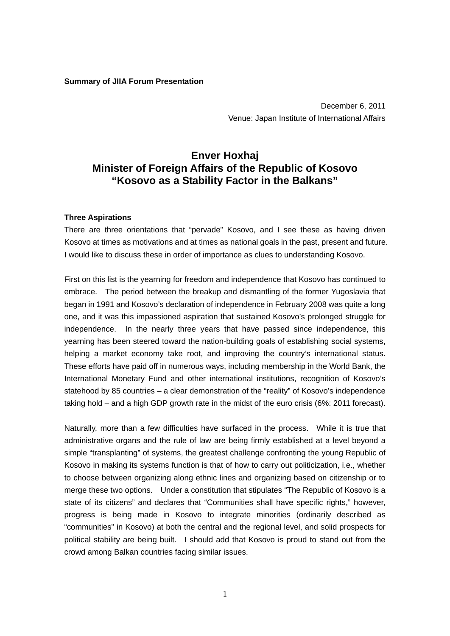#### **Summary of JIIA Forum Presentation**

December 6, 2011 Venue: Japan Institute of International Affairs

# **Enver Hoxhaj Minister of Foreign Affairs of the Republic of Kosovo "Kosovo as a Stability Factor in the Balkans"**

## **Three Aspirations**

There are three orientations that "pervade" Kosovo, and I see these as having driven Kosovo at times as motivations and at times as national goals in the past, present and future. I would like to discuss these in order of importance as clues to understanding Kosovo.

First on this list is the yearning for freedom and independence that Kosovo has continued to embrace. The period between the breakup and dismantling of the former Yugoslavia that began in 1991 and Kosovo's declaration of independence in February 2008 was quite a long one, and it was this impassioned aspiration that sustained Kosovo's prolonged struggle for independence. In the nearly three years that have passed since independence, this yearning has been steered toward the nation-building goals of establishing social systems, helping a market economy take root, and improving the country's international status. These efforts have paid off in numerous ways, including membership in the World Bank, the International Monetary Fund and other international institutions, recognition of Kosovo's statehood by 85 countries – a clear demonstration of the "reality" of Kosovo's independence taking hold – and a high GDP growth rate in the midst of the euro crisis (6%: 2011 forecast).

Naturally, more than a few difficulties have surfaced in the process. While it is true that administrative organs and the rule of law are being firmly established at a level beyond a simple "transplanting" of systems, the greatest challenge confronting the young Republic of Kosovo in making its systems function is that of how to carry out politicization, i.e., whether to choose between organizing along ethnic lines and organizing based on citizenship or to merge these two options. Under a constitution that stipulates "The Republic of Kosovo is a state of its citizens" and declares that "Communities shall have specific rights," however, progress is being made in Kosovo to integrate minorities (ordinarily described as "communities" in Kosovo) at both the central and the regional level, and solid prospects for political stability are being built. I should add that Kosovo is proud to stand out from the crowd among Balkan countries facing similar issues.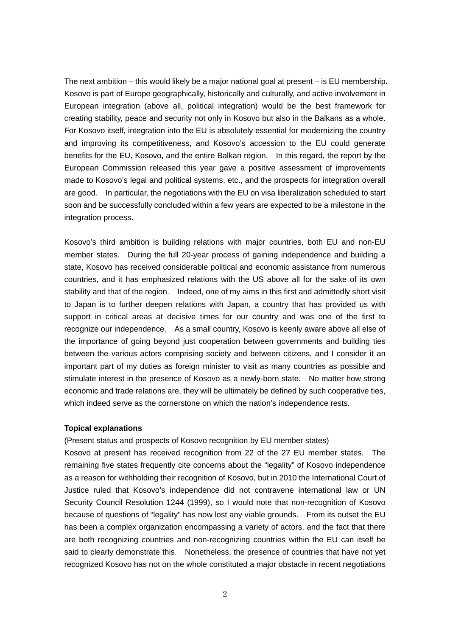The next ambition – this would likely be a major national goal at present – is EU membership. Kosovo is part of Europe geographically, historically and culturally, and active involvement in European integration (above all, political integration) would be the best framework for creating stability, peace and security not only in Kosovo but also in the Balkans as a whole. For Kosovo itself, integration into the EU is absolutely essential for modernizing the country and improving its competitiveness, and Kosovo's accession to the EU could generate benefits for the EU, Kosovo, and the entire Balkan region. In this regard, the report by the European Commission released this year gave a positive assessment of improvements made to Kosovo's legal and political systems, etc., and the prospects for integration overall are good. In particular, the negotiations with the EU on visa liberalization scheduled to start soon and be successfully concluded within a few years are expected to be a milestone in the integration process.

Kosovo's third ambition is building relations with major countries, both EU and non-EU member states. During the full 20-year process of gaining independence and building a state, Kosovo has received considerable political and economic assistance from numerous countries, and it has emphasized relations with the US above all for the sake of its own stability and that of the region. Indeed, one of my aims in this first and admittedly short visit to Japan is to further deepen relations with Japan, a country that has provided us with support in critical areas at decisive times for our country and was one of the first to recognize our independence. As a small country, Kosovo is keenly aware above all else of the importance of going beyond just cooperation between governments and building ties between the various actors comprising society and between citizens, and I consider it an important part of my duties as foreign minister to visit as many countries as possible and stimulate interest in the presence of Kosovo as a newly-born state. No matter how strong economic and trade relations are, they will be ultimately be defined by such cooperative ties, which indeed serve as the cornerstone on which the nation's independence rests.

#### **Topical explanations**

#### (Present status and prospects of Kosovo recognition by EU member states)

Kosovo at present has received recognition from 22 of the 27 EU member states. The remaining five states frequently cite concerns about the "legality" of Kosovo independence as a reason for withholding their recognition of Kosovo, but in 2010 the International Court of Justice ruled that Kosovo's independence did not contravene international law or UN Security Council Resolution 1244 (1999), so I would note that non-recognition of Kosovo because of questions of "legality" has now lost any viable grounds. From its outset the EU has been a complex organization encompassing a variety of actors, and the fact that there are both recognizing countries and non-recognizing countries within the EU can itself be said to clearly demonstrate this. Nonetheless, the presence of countries that have not yet recognized Kosovo has not on the whole constituted a major obstacle in recent negotiations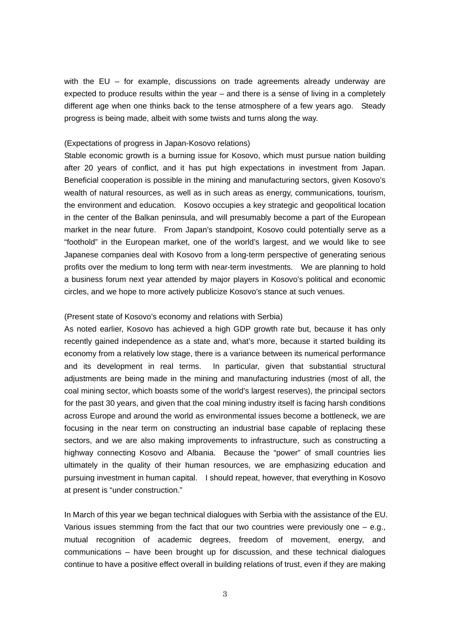with the EU – for example, discussions on trade agreements already underway are expected to produce results within the year – and there is a sense of living in a completely different age when one thinks back to the tense atmosphere of a few years ago. Steady progress is being made, albeit with some twists and turns along the way.

## (Expectations of progress in Japan-Kosovo relations)

Stable economic growth is a burning issue for Kosovo, which must pursue nation building after 20 years of conflict, and it has put high expectations in investment from Japan. Beneficial cooperation is possible in the mining and manufacturing sectors, given Kosovo's wealth of natural resources, as well as in such areas as energy, communications, tourism, the environment and education. Kosovo occupies a key strategic and geopolitical location in the center of the Balkan peninsula, and will presumably become a part of the European market in the near future. From Japan's standpoint, Kosovo could potentially serve as a "foothold" in the European market, one of the world's largest, and we would like to see Japanese companies deal with Kosovo from a long-term perspective of generating serious profits over the medium to long term with near-term investments. We are planning to hold a business forum next year attended by major players in Kosovo's political and economic circles, and we hope to more actively publicize Kosovo's stance at such venues.

## (Present state of Kosovo's economy and relations with Serbia)

As noted earlier, Kosovo has achieved a high GDP growth rate but, because it has only recently gained independence as a state and, what's more, because it started building its economy from a relatively low stage, there is a variance between its numerical performance and its development in real terms. In particular, given that substantial structural adjustments are being made in the mining and manufacturing industries (most of all, the coal mining sector, which boasts some of the world's largest reserves), the principal sectors for the past 30 years, and given that the coal mining industry itself is facing harsh conditions across Europe and around the world as environmental issues become a bottleneck, we are focusing in the near term on constructing an industrial base capable of replacing these sectors, and we are also making improvements to infrastructure, such as constructing a highway connecting Kosovo and Albania. Because the "power" of small countries lies ultimately in the quality of their human resources, we are emphasizing education and pursuing investment in human capital. I should repeat, however, that everything in Kosovo at present is "under construction."

In March of this year we began technical dialogues with Serbia with the assistance of the EU. Various issues stemming from the fact that our two countries were previously one  $-$  e.g., mutual recognition of academic degrees, freedom of movement, energy, and communications – have been brought up for discussion, and these technical dialogues continue to have a positive effect overall in building relations of trust, even if they are making